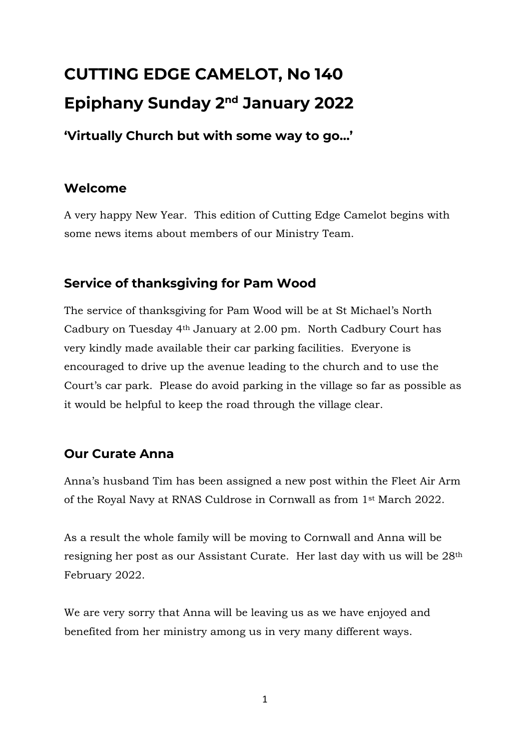# **CUTTING EDGE CAMELOT, No 140 Epiphany Sunday 2nd January 2022**

**'Virtually Church but with some way to go…'**

# **Welcome**

A very happy New Year. This edition of Cutting Edge Camelot begins with some news items about members of our Ministry Team.

# **Service of thanksgiving for Pam Wood**

The service of thanksgiving for Pam Wood will be at St Michael's North Cadbury on Tuesday 4th January at 2.00 pm. North Cadbury Court has very kindly made available their car parking facilities. Everyone is encouraged to drive up the avenue leading to the church and to use the Court's car park. Please do avoid parking in the village so far as possible as it would be helpful to keep the road through the village clear.

# **Our Curate Anna**

Anna's husband Tim has been assigned a new post within the Fleet Air Arm of the Royal Navy at RNAS Culdrose in Cornwall as from 1st March 2022.

As a result the whole family will be moving to Cornwall and Anna will be resigning her post as our Assistant Curate. Her last day with us will be 28th February 2022.

We are very sorry that Anna will be leaving us as we have enjoyed and benefited from her ministry among us in very many different ways.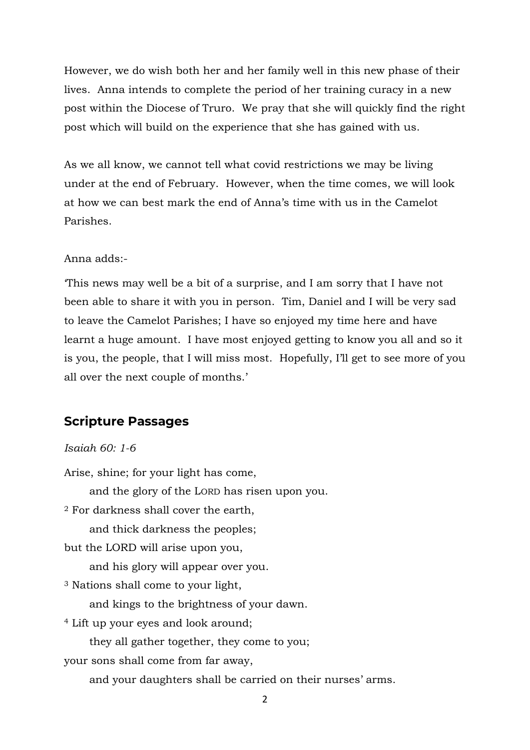However, we do wish both her and her family well in this new phase of their lives. Anna intends to complete the period of her training curacy in a new post within the Diocese of Truro. We pray that she will quickly find the right post which will build on the experience that she has gained with us.

As we all know, we cannot tell what covid restrictions we may be living under at the end of February. However, when the time comes, we will look at how we can best mark the end of Anna's time with us in the Camelot Parishes.

#### Anna adds:-

'This news may well be a bit of a surprise, and I am sorry that I have not been able to share it with you in person. Tim, Daniel and I will be very sad to leave the Camelot Parishes; I have so enjoyed my time here and have learnt a huge amount. I have most enjoyed getting to know you all and so it is you, the people, that I will miss most. Hopefully, I'll get to see more of you all over the next couple of months.'

#### **Scripture Passages**

#### *Isaiah 60: 1-6*

Arise, shine; for your light has come, and the glory of the LORD has risen upon you. <sup>2</sup> For darkness shall cover the earth, and thick darkness the peoples; but the LORD will arise upon you, and his glory will appear over you. <sup>3</sup> Nations shall come to your light, and kings to the brightness of your dawn. <sup>4</sup> Lift up your eyes and look around; they all gather together, they come to you; your sons shall come from far away, and your daughters shall be carried on their nurses' arms.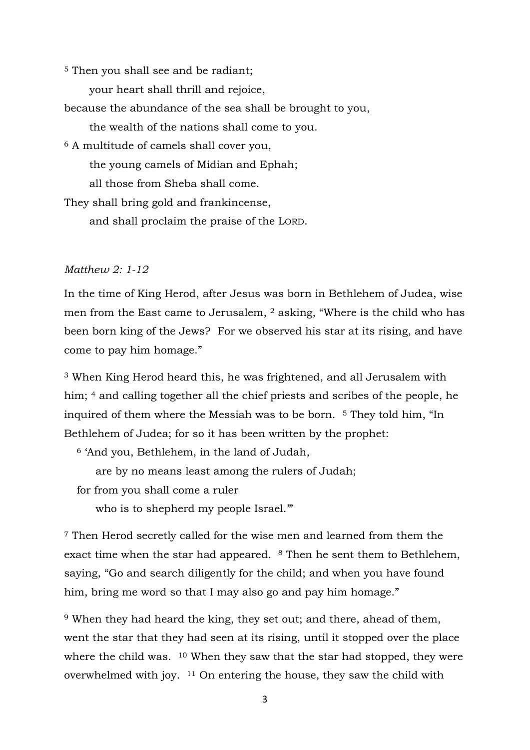<sup>5</sup> Then you shall see and be radiant;

your heart shall thrill and rejoice,

because the abundance of the sea shall be brought to you,

the wealth of the nations shall come to you.

<sup>6</sup> A multitude of camels shall cover you,

the young camels of Midian and Ephah;

all those from Sheba shall come.

They shall bring gold and frankincense,

and shall proclaim the praise of the LORD.

#### *Matthew 2: 1-12*

In the time of King Herod, after Jesus was born in Bethlehem of Judea, wise men from the East came to Jerusalem, <sup>2</sup> asking, "Where is the child who has been born king of the Jews? For we observed his star at its rising, and have come to pay him homage."

<sup>3</sup> When King Herod heard this, he was frightened, and all Jerusalem with him; <sup>4</sup> and calling together all the chief priests and scribes of the people, he inquired of them where the Messiah was to be born. <sup>5</sup> They told him, "In Bethlehem of Judea; for so it has been written by the prophet:

<sup>6</sup> 'And you, Bethlehem, in the land of Judah,

are by no means least among the rulers of Judah;

for from you shall come a ruler

who is to shepherd my people Israel."

<sup>7</sup> Then Herod secretly called for the wise men and learned from them the exact time when the star had appeared. <sup>8</sup> Then he sent them to Bethlehem, saying, "Go and search diligently for the child; and when you have found him, bring me word so that I may also go and pay him homage."

<sup>9</sup> When they had heard the king, they set out; and there, ahead of them, went the star that they had seen at its rising, until it stopped over the place where the child was. <sup>10</sup> When they saw that the star had stopped, they were overwhelmed with joy. <sup>11</sup> On entering the house, they saw the child with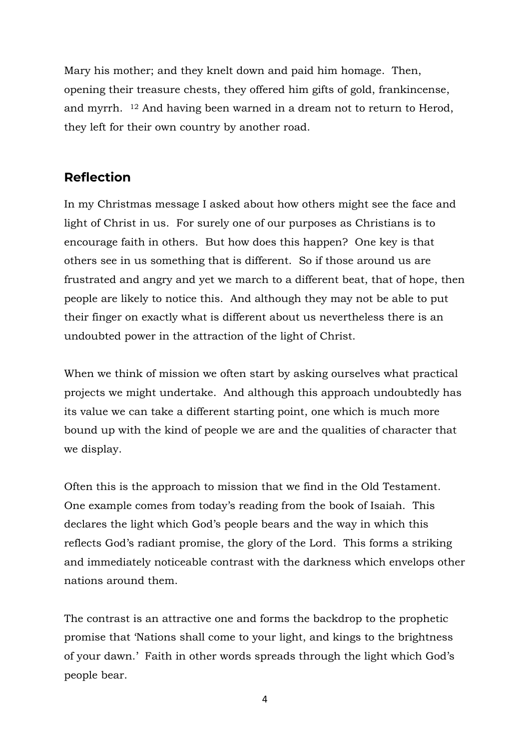Mary his mother; and they knelt down and paid him homage. Then, opening their treasure chests, they offered him gifts of gold, frankincense, and myrrh. <sup>12</sup> And having been warned in a dream not to return to Herod, they left for their own country by another road.

## **Reflection**

In my Christmas message I asked about how others might see the face and light of Christ in us. For surely one of our purposes as Christians is to encourage faith in others. But how does this happen? One key is that others see in us something that is different. So if those around us are frustrated and angry and yet we march to a different beat, that of hope, then people are likely to notice this. And although they may not be able to put their finger on exactly what is different about us nevertheless there is an undoubted power in the attraction of the light of Christ.

When we think of mission we often start by asking ourselves what practical projects we might undertake. And although this approach undoubtedly has its value we can take a different starting point, one which is much more bound up with the kind of people we are and the qualities of character that we display.

Often this is the approach to mission that we find in the Old Testament. One example comes from today's reading from the book of Isaiah. This declares the light which God's people bears and the way in which this reflects God's radiant promise, the glory of the Lord. This forms a striking and immediately noticeable contrast with the darkness which envelops other nations around them.

The contrast is an attractive one and forms the backdrop to the prophetic promise that 'Nations shall come to your light, and kings to the brightness of your dawn.' Faith in other words spreads through the light which God's people bear.

4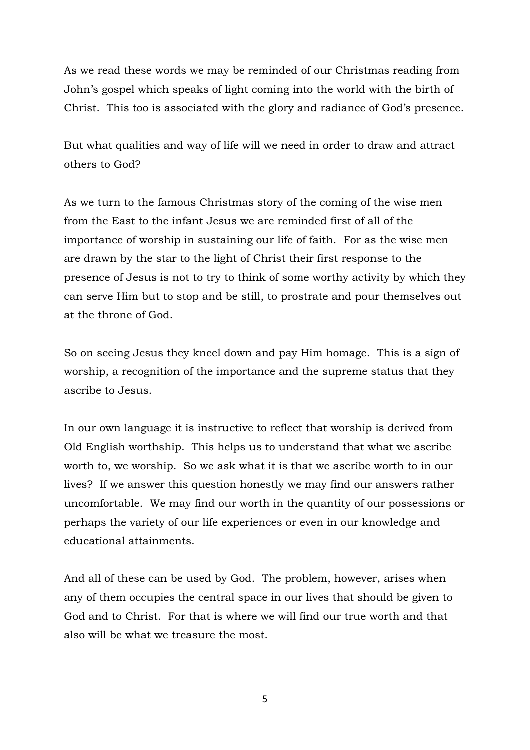As we read these words we may be reminded of our Christmas reading from John's gospel which speaks of light coming into the world with the birth of Christ. This too is associated with the glory and radiance of God's presence.

But what qualities and way of life will we need in order to draw and attract others to God?

As we turn to the famous Christmas story of the coming of the wise men from the East to the infant Jesus we are reminded first of all of the importance of worship in sustaining our life of faith. For as the wise men are drawn by the star to the light of Christ their first response to the presence of Jesus is not to try to think of some worthy activity by which they can serve Him but to stop and be still, to prostrate and pour themselves out at the throne of God.

So on seeing Jesus they kneel down and pay Him homage. This is a sign of worship, a recognition of the importance and the supreme status that they ascribe to Jesus.

In our own language it is instructive to reflect that worship is derived from Old English worthship. This helps us to understand that what we ascribe worth to, we worship. So we ask what it is that we ascribe worth to in our lives? If we answer this question honestly we may find our answers rather uncomfortable. We may find our worth in the quantity of our possessions or perhaps the variety of our life experiences or even in our knowledge and educational attainments.

And all of these can be used by God. The problem, however, arises when any of them occupies the central space in our lives that should be given to God and to Christ. For that is where we will find our true worth and that also will be what we treasure the most.

5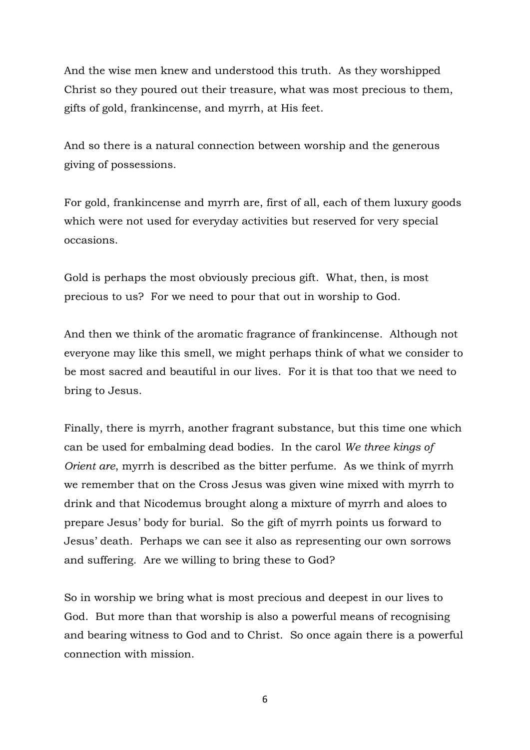And the wise men knew and understood this truth. As they worshipped Christ so they poured out their treasure, what was most precious to them, gifts of gold, frankincense, and myrrh, at His feet.

And so there is a natural connection between worship and the generous giving of possessions.

For gold, frankincense and myrrh are, first of all, each of them luxury goods which were not used for everyday activities but reserved for very special occasions.

Gold is perhaps the most obviously precious gift. What, then, is most precious to us? For we need to pour that out in worship to God.

And then we think of the aromatic fragrance of frankincense. Although not everyone may like this smell, we might perhaps think of what we consider to be most sacred and beautiful in our lives. For it is that too that we need to bring to Jesus.

Finally, there is myrrh, another fragrant substance, but this time one which can be used for embalming dead bodies. In the carol *We three kings of Orient are*, myrrh is described as the bitter perfume. As we think of myrrh we remember that on the Cross Jesus was given wine mixed with myrrh to drink and that Nicodemus brought along a mixture of myrrh and aloes to prepare Jesus' body for burial. So the gift of myrrh points us forward to Jesus' death. Perhaps we can see it also as representing our own sorrows and suffering. Are we willing to bring these to God?

So in worship we bring what is most precious and deepest in our lives to God. But more than that worship is also a powerful means of recognising and bearing witness to God and to Christ. So once again there is a powerful connection with mission.

6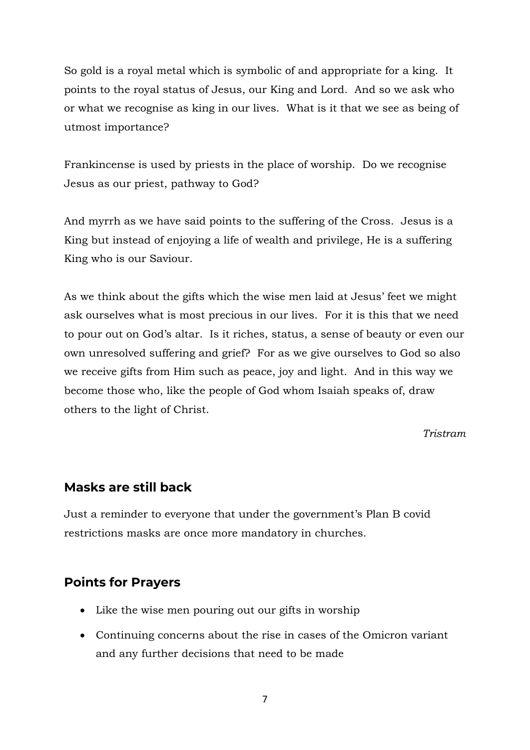So gold is a royal metal which is symbolic of and appropriate for a king. It points to the royal status of Jesus, our King and Lord. And so we ask who or what we recognise as king in our lives. What is it that we see as being of utmost importance?

Frankincense is used by priests in the place of worship. Do we recognise Jesus as our priest, pathway to God?

And myrrh as we have said points to the suffering of the Cross. Jesus is a King but instead of enjoying a life of wealth and privilege, He is a suffering King who is our Saviour.

As we think about the gifts which the wise men laid at Jesus' feet we might ask ourselves what is most precious in our lives. For it is this that we need to pour out on God's altar. Is it riches, status, a sense of beauty or even our own unresolved suffering and grief? For as we give ourselves to God so also we receive gifts from Him such as peace, joy and light. And in this way we become those who, like the people of God whom Isaiah speaks of, draw others to the light of Christ.

*Tristram*

#### **Masks are still back**

Just a reminder to everyone that under the government's Plan B covid restrictions masks are once more mandatory in churches.

#### **Points for Prayers**

- Like the wise men pouring out our gifts in worship
- Continuing concerns about the rise in cases of the Omicron variant and any further decisions that need to be made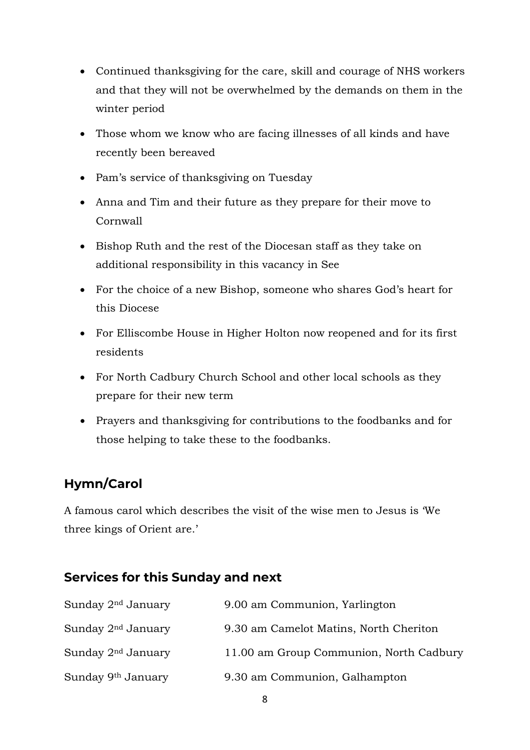- Continued thanksgiving for the care, skill and courage of NHS workers and that they will not be overwhelmed by the demands on them in the winter period
- Those whom we know who are facing illnesses of all kinds and have recently been bereaved
- Pam's service of thanksgiving on Tuesday
- Anna and Tim and their future as they prepare for their move to Cornwall
- Bishop Ruth and the rest of the Diocesan staff as they take on additional responsibility in this vacancy in See
- For the choice of a new Bishop, someone who shares God's heart for this Diocese
- For Elliscombe House in Higher Holton now reopened and for its first residents
- For North Cadbury Church School and other local schools as they prepare for their new term
- Prayers and thanksgiving for contributions to the foodbanks and for those helping to take these to the foodbanks.

# **Hymn/Carol**

A famous carol which describes the visit of the wise men to Jesus is 'We three kings of Orient are.'

## **Services for this Sunday and next**

| Sunday 2 <sup>nd</sup> January | 9.00 am Communion, Yarlington           |
|--------------------------------|-----------------------------------------|
| Sunday 2 <sup>nd</sup> January | 9.30 am Camelot Matins, North Cheriton  |
| Sunday 2 <sup>nd</sup> January | 11.00 am Group Communion, North Cadbury |
| Sunday 9 <sup>th</sup> January | 9.30 am Communion, Galhampton           |